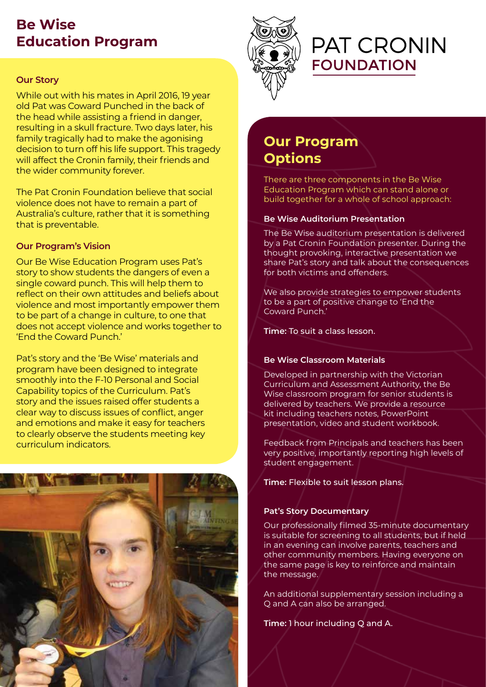## **Be Wise Education Program**

#### **Our Story**

While out with his mates in April 2016, 19 year old Pat was Coward Punched in the back of the head while assisting a friend in danger, resulting in a skull fracture. Two days later, his family tragically had to make the agonising decision to turn off his life support. This tragedy will affect the Cronin family, their friends and the wider community forever.

The Pat Cronin Foundation believe that social violence does not have to remain a part of Australia's culture, rather that it is something that is preventable.

#### **Our Program's Vision**

Our Be Wise Education Program uses Pat's story to show students the dangers of even a single coward punch. This will help them to reflect on their own attitudes and beliefs about violence and most importantly empower them to be part of a change in culture, to one that does not accept violence and works together to 'End the Coward Punch.'

Pat's story and the 'Be Wise' materials and program have been designed to integrate smoothly into the F-10 Personal and Social Capability topics of the Curriculum. Pat's story and the issues raised offer students a clear way to discuss issues of conflict, anger and emotions and make it easy for teachers to clearly observe the students meeting key curriculum indicators.





# **PAT CRONIN FOUNDATION**

## **Our Program Options**

There are three components in the Be Wise Education Program which can stand alone or build together for a whole of school approach:

#### **Be Wise Auditorium Presentation**

The Be Wise auditorium presentation is delivered by a Pat Cronin Foundation presenter. During the thought provoking, interactive presentation we share Pat's story and talk about the consequences for both victims and offenders.

We also provide strategies to empower students to be a part of positive change to 'End the Coward Punch.'

**Time:** To suit a class lesson.

#### **Be Wise Classroom Materials**

Developed in partnership with the Victorian Curriculum and Assessment Authority, the Be Wise classroom program for senior students is delivered by teachers. We provide a resource kit including teachers notes, PowerPoint presentation, video and student workbook.

Feedback from Principals and teachers has been very positive, importantly reporting high levels of student engagement.

**Time:** Flexible to suit lesson plans.

#### **Pat's Story Documentary**

Our professionally filmed 35-minute documentary is suitable for screening to all students, but if held in an evening can involve parents, teachers and other community members. Having everyone on the same page is key to reinforce and maintain the message.

An additional supplementary session including a Q and A can also be arranged.

**Time:** 1 hour including Q and A.